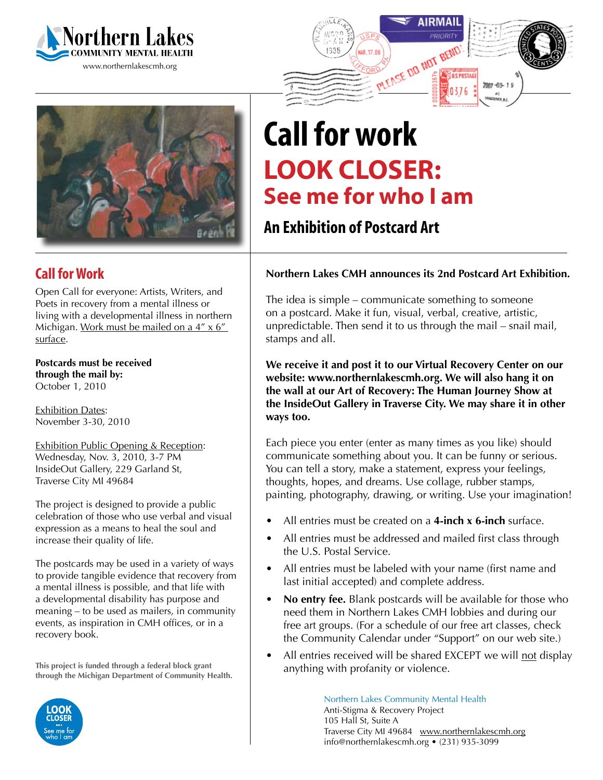





## **Call for Work**

Open Call for everyone: Artists, Writers, and Poets in recovery from a mental illness or living with a developmental illness in northern Michigan. Work must be mailed on a  $4'' \times 6''$ surface.

**Postcards must be received through the mail by:** October 1, 2010

**Exhibition Dates:** November 3-30, 2010

Exhibition Public Opening & Reception: Wednesday, Nov. 3, 2010, 3-7 PM InsideOut Gallery, 229 Garland St, Traverse City MI 49684

The project is designed to provide a public celebration of those who use verbal and visual expression as a means to heal the soul and increase their quality of life.

The postcards may be used in a variety of ways to provide tangible evidence that recovery from a mental illness is possible, and that life with a developmental disability has purpose and meaning – to be used as mailers, in community events, as inspiration in CMH offices, or in a recovery book.

**This project is funded through a federal block grant through the Michigan Department of Community Health.**



## **Call for work Look Closer: See me for who I am**

## **An Exhibition of Postcard Art**

## **Northern Lakes CMH announces its 2nd Postcard Art Exhibition.**

The idea is simple – communicate something to someone on a postcard. Make it fun, visual, verbal, creative, artistic, unpredictable. Then send it to us through the mail – snail mail, stamps and all.

**We receive it and post it to our Virtual Recovery Center on our website: www.northernlakescmh.org. We will also hang it on the wall at our Art of Recovery: The Human Journey Show at the InsideOut Gallery in Traverse City. We may share it in other ways too.**

Each piece you enter (enter as many times as you like) should communicate something about you. It can be funny or serious. You can tell a story, make a statement, express your feelings, thoughts, hopes, and dreams. Use collage, rubber stamps, painting, photography, drawing, or writing. Use your imagination!

- All entries must be created on a **4-inch x 6-inch** surface.
- All entries must be addressed and mailed first class through the U.S. Postal Service.
- All entries must be labeled with your name (first name and last initial accepted) and complete address.
- **No entry fee.** Blank postcards will be available for those who need them in Northern Lakes CMH lobbies and during our free art groups. (For a schedule of our free art classes, check the Community Calendar under "Support" on our web site.)
- All entries received will be shared EXCEPT we will not display anything with profanity or violence.

Northern Lakes Community Mental Health Anti-Stigma & Recovery Project 105 Hall St, Suite A Traverse City MI 49684 www.northernlakescmh.org info@northernlakescmh.org • (231) 935-3099